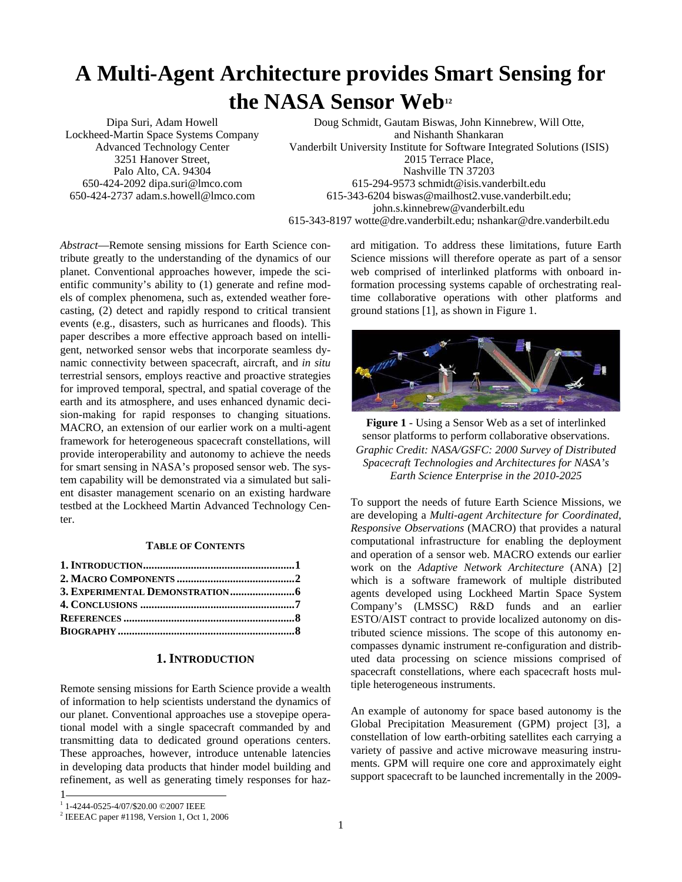# **A Multi-Agent Architecture provides Smart Sensing for the NASA Sensor Web12**

Dipa Suri, Adam Howell Lockheed-Martin Space Systems Company Advanced Technology Center 3251 Hanover Street, Palo Alto, CA. 94304 650-424-2092 dipa.suri@lmco.com 650-424-2737 adam.s.howell@lmco.com

Doug Schmidt, Gautam Biswas, John Kinnebrew, Will Otte, and Nishanth Shankaran Vanderbilt University Institute for Software Integrated Solutions (ISIS) 2015 Terrace Place, Nashville TN 37203 615-294-9573 schmidt@isis.vanderbilt.edu 615-343-6204 biswas@mailhost2.vuse.vanderbilt.edu; john.s.kinnebrew@vanderbilt.edu 615-343-8197 wotte@dre.vanderbilt.edu; nshankar@dre.vanderbilt.edu

*Abstract*—Remote sensing missions for Earth Science contribute greatly to the understanding of the dynamics of our planet. Conventional approaches however, impede the scientific community's ability to (1) generate and refine models of complex phenomena, such as, extended weather forecasting, (2) detect and rapidly respond to critical transient events (e.g., disasters, such as hurricanes and floods). This paper describes a more effective approach based on intelligent, networked sensor webs that incorporate seamless dynamic connectivity between spacecraft, aircraft, and *in situ* terrestrial sensors, employs reactive and proactive strategies for improved temporal, spectral, and spatial coverage of the earth and its atmosphere, and uses enhanced dynamic decision-making for rapid responses to changing situations. MACRO, an extension of our earlier work on a multi-agent framework for heterogeneous spacecraft constellations, will provide interoperability and autonomy to achieve the needs for smart sensing in NASA's proposed sensor web. The system capability will be demonstrated via a simulated but salient disaster management scenario on an existing hardware testbed at the Lockheed Martin Advanced Technology Center.

# **TABLE OF CONTENTS**

# **1. INTRODUCTION**

Remote sensing missions for Earth Science provide a wealth of information to help scientists understand the dynamics of our planet. Conventional approaches use a stovepipe operational model with a single spacecraft commanded by and transmitting data to dedicated ground operations centers. These approaches, however, introduce untenable latencies in developing data products that hinder model building and refinement, as well as generating timely responses for haz-

1

ard mitigation. To address these limitations, future Earth Science missions will therefore operate as part of a sensor web comprised of interlinked platforms with onboard information processing systems capable of orchestrating realtime collaborative operations with other platforms and ground stations [1], as shown in Figure 1.



**Figure 1** - Using a Sensor Web as a set of interlinked sensor platforms to perform collaborative observations. *Graphic Credit: NASA/GSFC: 2000 Survey of Distributed Spacecraft Technologies and Architectures for NASA's Earth Science Enterprise in the 2010-2025* 

To support the needs of future Earth Science Missions, we are developing a *Multi-agent Architecture for Coordinated, Responsive Observations* (MACRO) that provides a natural computational infrastructure for enabling the deployment and operation of a sensor web. MACRO extends our earlier work on the *Adaptive Network Architecture* (ANA) [2] which is a software framework of multiple distributed agents developed using Lockheed Martin Space System Company's (LMSSC) R&D funds and an earlier ESTO/AIST contract to provide localized autonomy on distributed science missions. The scope of this autonomy encompasses dynamic instrument re-configuration and distributed data processing on science missions comprised of spacecraft constellations, where each spacecraft hosts multiple heterogeneous instruments.

An example of autonomy for space based autonomy is the Global Precipitation Measurement (GPM) project [3], a constellation of low earth-orbiting satellites each carrying a variety of passive and active microwave measuring instruments. GPM will require one core and approximately eight support spacecraft to be launched incrementally in the 2009-

<sup>&</sup>lt;sup>1</sup> 1-4244-0525-4/07/\$20.00 ©2007 IEEE<br><sup>2</sup> IEEE AC napor #1108, Version 1, Oct 1

 $<sup>2</sup>$  IEEEAC paper #1198, Version 1, Oct 1, 2006</sup>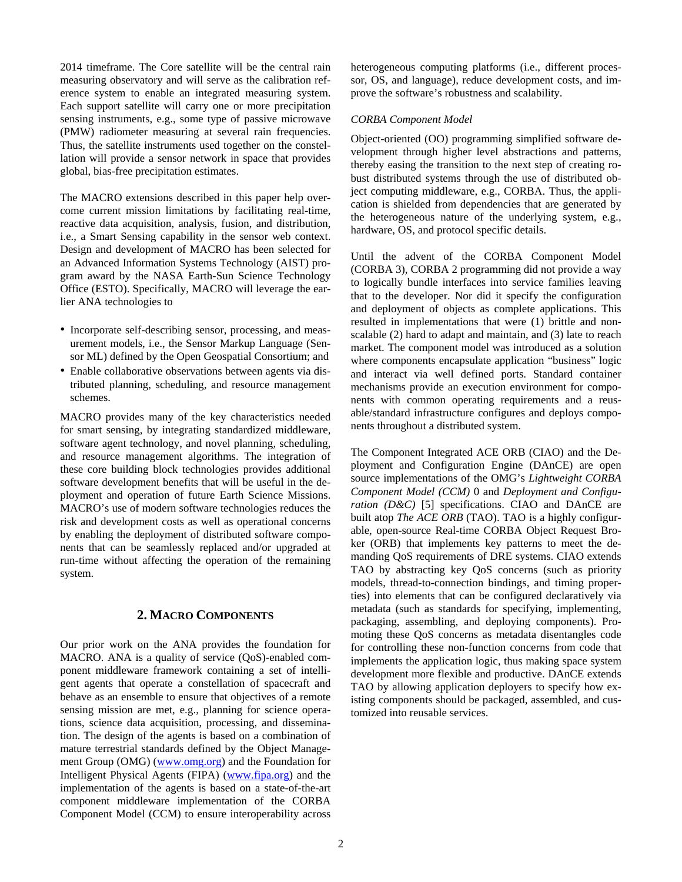2014 timeframe. The Core satellite will be the central rain measuring observatory and will serve as the calibration reference system to enable an integrated measuring system. Each support satellite will carry one or more precipitation sensing instruments, e.g., some type of passive microwave (PMW) radiometer measuring at several rain frequencies. Thus, the satellite instruments used together on the constellation will provide a sensor network in space that provides global, bias-free precipitation estimates.

The MACRO extensions described in this paper help overcome current mission limitations by facilitating real-time, reactive data acquisition, analysis, fusion, and distribution, i.e., a Smart Sensing capability in the sensor web context. Design and development of MACRO has been selected for an Advanced Information Systems Technology (AIST) program award by the NASA Earth-Sun Science Technology Office (ESTO). Specifically, MACRO will leverage the earlier ANA technologies to

- Incorporate self-describing sensor, processing, and measurement models, i.e., the Sensor Markup Language (Sensor ML) defined by the Open Geospatial Consortium; and
- Enable collaborative observations between agents via distributed planning, scheduling, and resource management schemes.

MACRO provides many of the key characteristics needed for smart sensing, by integrating standardized middleware, software agent technology, and novel planning, scheduling, and resource management algorithms. The integration of these core building block technologies provides additional software development benefits that will be useful in the deployment and operation of future Earth Science Missions. MACRO's use of modern software technologies reduces the risk and development costs as well as operational concerns by enabling the deployment of distributed software components that can be seamlessly replaced and/or upgraded at run-time without affecting the operation of the remaining system.

## **2. MACRO COMPONENTS**

Our prior work on the ANA provides the foundation for MACRO. ANA is a quality of service (QoS)-enabled component middleware framework containing a set of intelligent agents that operate a constellation of spacecraft and behave as an ensemble to ensure that objectives of a remote sensing mission are met, e.g., planning for science operations, science data acquisition, processing, and dissemination. The design of the agents is based on a combination of mature terrestrial standards defined by the Object Management Group (OMG) (www.omg.org) and the Foundation for Intelligent Physical Agents (FIPA) (www.fipa.org) and the implementation of the agents is based on a state-of-the-art component middleware implementation of the CORBA Component Model (CCM) to ensure interoperability across

heterogeneous computing platforms (i.e., different processor, OS, and language), reduce development costs, and improve the software's robustness and scalability.

### *CORBA Component Model*

Object-oriented (OO) programming simplified software development through higher level abstractions and patterns, thereby easing the transition to the next step of creating robust distributed systems through the use of distributed object computing middleware, e.g., CORBA. Thus, the application is shielded from dependencies that are generated by the heterogeneous nature of the underlying system, e.g., hardware, OS, and protocol specific details.

Until the advent of the CORBA Component Model (CORBA 3), CORBA 2 programming did not provide a way to logically bundle interfaces into service families leaving that to the developer. Nor did it specify the configuration and deployment of objects as complete applications. This resulted in implementations that were (1) brittle and nonscalable (2) hard to adapt and maintain, and (3) late to reach market. The component model was introduced as a solution where components encapsulate application "business" logic and interact via well defined ports. Standard container mechanisms provide an execution environment for components with common operating requirements and a reusable/standard infrastructure configures and deploys components throughout a distributed system.

The Component Integrated ACE ORB (CIAO) and the Deployment and Configuration Engine (DAnCE) are open source implementations of the OMG's *Lightweight CORBA Component Model (CCM)* 0 and *Deployment and Configuration (D&C)* [5] specifications. CIAO and DAnCE are built atop *The ACE ORB* (TAO). TAO is a highly configurable, open-source Real-time CORBA Object Request Broker (ORB) that implements key patterns to meet the demanding QoS requirements of DRE systems. CIAO extends TAO by abstracting key QoS concerns (such as priority models, thread-to-connection bindings, and timing properties) into elements that can be configured declaratively via metadata (such as standards for specifying, implementing, packaging, assembling, and deploying components). Promoting these QoS concerns as metadata disentangles code for controlling these non-function concerns from code that implements the application logic, thus making space system development more flexible and productive. DAnCE extends TAO by allowing application deployers to specify how existing components should be packaged, assembled, and customized into reusable services.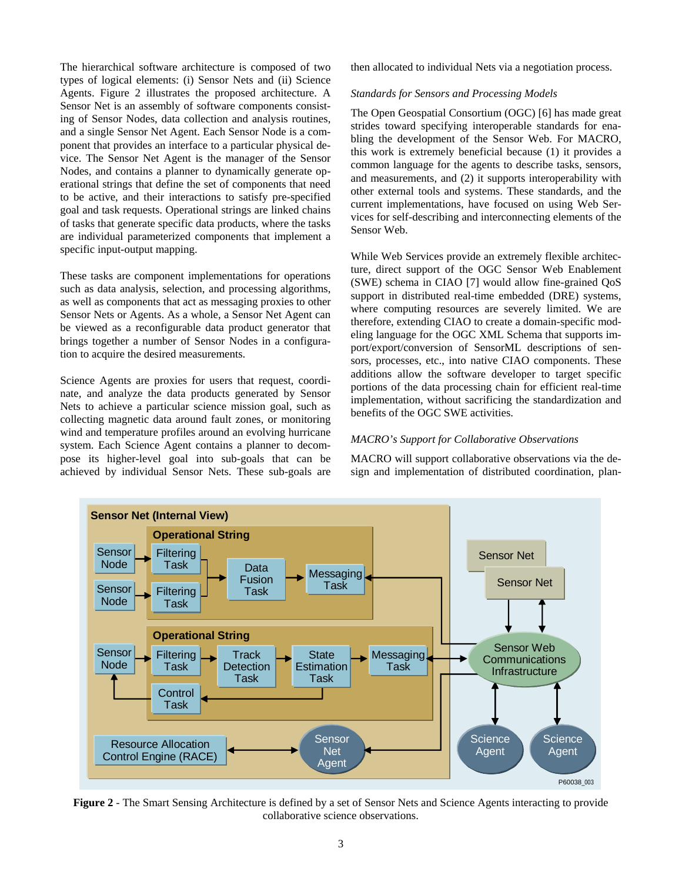The hierarchical software architecture is composed of two types of logical elements: (i) Sensor Nets and (ii) Science Agents. Figure 2 illustrates the proposed architecture. A Sensor Net is an assembly of software components consisting of Sensor Nodes, data collection and analysis routines, and a single Sensor Net Agent. Each Sensor Node is a component that provides an interface to a particular physical device. The Sensor Net Agent is the manager of the Sensor Nodes, and contains a planner to dynamically generate operational strings that define the set of components that need to be active, and their interactions to satisfy pre-specified goal and task requests. Operational strings are linked chains of tasks that generate specific data products, where the tasks are individual parameterized components that implement a specific input-output mapping.

These tasks are component implementations for operations such as data analysis, selection, and processing algorithms, as well as components that act as messaging proxies to other Sensor Nets or Agents. As a whole, a Sensor Net Agent can be viewed as a reconfigurable data product generator that brings together a number of Sensor Nodes in a configuration to acquire the desired measurements.

Science Agents are proxies for users that request, coordinate, and analyze the data products generated by Sensor Nets to achieve a particular science mission goal, such as collecting magnetic data around fault zones, or monitoring wind and temperature profiles around an evolving hurricane system. Each Science Agent contains a planner to decompose its higher-level goal into sub-goals that can be achieved by individual Sensor Nets. These sub-goals are then allocated to individual Nets via a negotiation process.

#### *Standards for Sensors and Processing Models*

The Open Geospatial Consortium (OGC) [6] has made great strides toward specifying interoperable standards for enabling the development of the Sensor Web. For MACRO, this work is extremely beneficial because (1) it provides a common language for the agents to describe tasks, sensors, and measurements, and (2) it supports interoperability with other external tools and systems. These standards, and the current implementations, have focused on using Web Services for self-describing and interconnecting elements of the Sensor Web.

While Web Services provide an extremely flexible architecture, direct support of the OGC Sensor Web Enablement (SWE) schema in CIAO [7] would allow fine-grained QoS support in distributed real-time embedded (DRE) systems, where computing resources are severely limited. We are therefore, extending CIAO to create a domain-specific modeling language for the OGC XML Schema that supports import/export/conversion of SensorML descriptions of sensors, processes, etc., into native CIAO components. These additions allow the software developer to target specific portions of the data processing chain for efficient real-time implementation, without sacrificing the standardization and benefits of the OGC SWE activities.

#### *MACRO's Support for Collaborative Observations*

MACRO will support collaborative observations via the design and implementation of distributed coordination, plan-



**Figure 2** - The Smart Sensing Architecture is defined by a set of Sensor Nets and Science Agents interacting to provide collaborative science observations.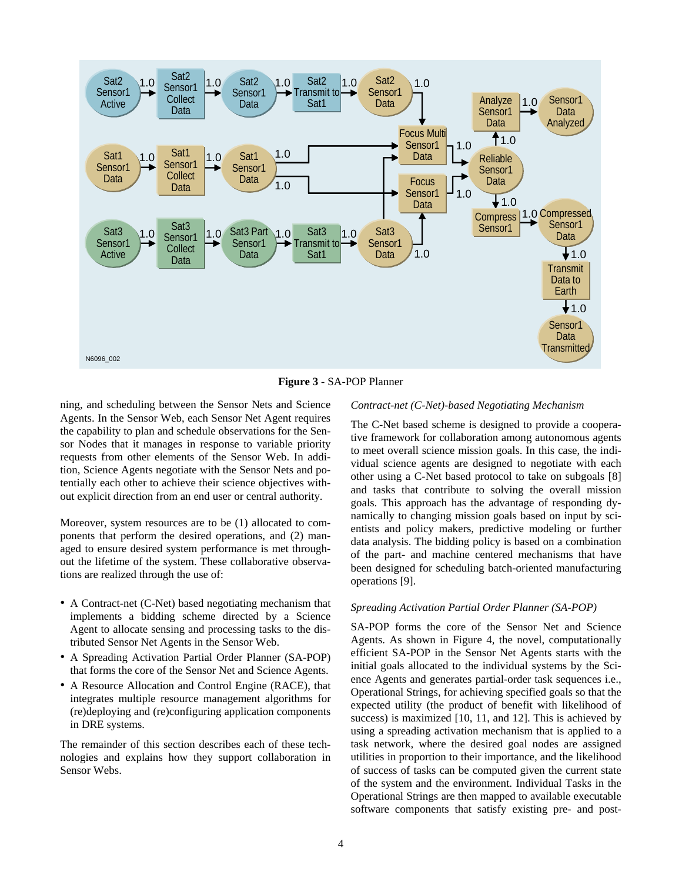

**Figure 3** - SA-POP Planner

ning, and scheduling between the Sensor Nets and Science Agents. In the Sensor Web, each Sensor Net Agent requires the capability to plan and schedule observations for the Sensor Nodes that it manages in response to variable priority requests from other elements of the Sensor Web. In addition, Science Agents negotiate with the Sensor Nets and potentially each other to achieve their science objectives without explicit direction from an end user or central authority.

Moreover, system resources are to be (1) allocated to components that perform the desired operations, and (2) managed to ensure desired system performance is met throughout the lifetime of the system. These collaborative observations are realized through the use of:

- A Contract-net (C-Net) based negotiating mechanism that implements a bidding scheme directed by a Science Agent to allocate sensing and processing tasks to the distributed Sensor Net Agents in the Sensor Web.
- A Spreading Activation Partial Order Planner (SA-POP) that forms the core of the Sensor Net and Science Agents.
- A Resource Allocation and Control Engine (RACE), that integrates multiple resource management algorithms for (re)deploying and (re)configuring application components in DRE systems.

The remainder of this section describes each of these technologies and explains how they support collaboration in Sensor Webs.

## *Contract-net (C-Net)-based Negotiating Mechanism*

The C-Net based scheme is designed to provide a cooperative framework for collaboration among autonomous agents to meet overall science mission goals. In this case, the individual science agents are designed to negotiate with each other using a C-Net based protocol to take on subgoals [8] and tasks that contribute to solving the overall mission goals. This approach has the advantage of responding dynamically to changing mission goals based on input by scientists and policy makers, predictive modeling or further data analysis. The bidding policy is based on a combination of the part- and machine centered mechanisms that have been designed for scheduling batch-oriented manufacturing operations [9].

#### *Spreading Activation Partial Order Planner (SA-POP)*

SA-POP forms the core of the Sensor Net and Science Agents. As shown in Figure 4, the novel, computationally efficient SA-POP in the Sensor Net Agents starts with the initial goals allocated to the individual systems by the Science Agents and generates partial-order task sequences i.e., Operational Strings, for achieving specified goals so that the expected utility (the product of benefit with likelihood of success) is maximized [10, 11, and 12]. This is achieved by using a spreading activation mechanism that is applied to a task network, where the desired goal nodes are assigned utilities in proportion to their importance, and the likelihood of success of tasks can be computed given the current state of the system and the environment. Individual Tasks in the Operational Strings are then mapped to available executable software components that satisfy existing pre- and post-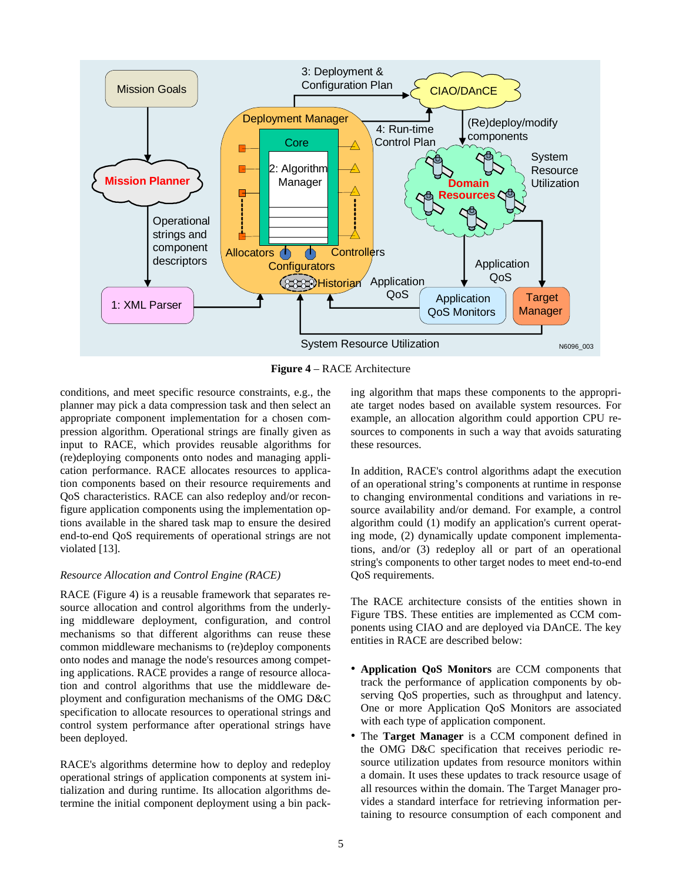

**Figure 4** – RACE Architecture

conditions, and meet specific resource constraints, e.g., the planner may pick a data compression task and then select an appropriate component implementation for a chosen compression algorithm. Operational strings are finally given as input to RACE, which provides reusable algorithms for (re)deploying components onto nodes and managing application performance. RACE allocates resources to application components based on their resource requirements and QoS characteristics. RACE can also redeploy and/or reconfigure application components using the implementation options available in the shared task map to ensure the desired end-to-end QoS requirements of operational strings are not violated [13].

## *Resource Allocation and Control Engine (RACE)*

RACE (Figure 4) is a reusable framework that separates resource allocation and control algorithms from the underlying middleware deployment, configuration, and control mechanisms so that different algorithms can reuse these common middleware mechanisms to (re)deploy components onto nodes and manage the node's resources among competing applications. RACE provides a range of resource allocation and control algorithms that use the middleware deployment and configuration mechanisms of the OMG D&C specification to allocate resources to operational strings and control system performance after operational strings have been deployed.

RACE's algorithms determine how to deploy and redeploy operational strings of application components at system initialization and during runtime. Its allocation algorithms determine the initial component deployment using a bin packing algorithm that maps these components to the appropriate target nodes based on available system resources. For example, an allocation algorithm could apportion CPU resources to components in such a way that avoids saturating these resources.

In addition, RACE's control algorithms adapt the execution of an operational string's components at runtime in response to changing environmental conditions and variations in resource availability and/or demand. For example, a control algorithm could (1) modify an application's current operating mode, (2) dynamically update component implementations, and/or (3) redeploy all or part of an operational string's components to other target nodes to meet end-to-end QoS requirements.

The RACE architecture consists of the entities shown in Figure TBS. These entities are implemented as CCM components using CIAO and are deployed via DAnCE. The key entities in RACE are described below:

- **Application QoS Monitors** are CCM components that track the performance of application components by observing QoS properties, such as throughput and latency. One or more Application QoS Monitors are associated with each type of application component.
- The **Target Manager** is a CCM component defined in the OMG D&C specification that receives periodic resource utilization updates from resource monitors within a domain. It uses these updates to track resource usage of all resources within the domain. The Target Manager provides a standard interface for retrieving information pertaining to resource consumption of each component and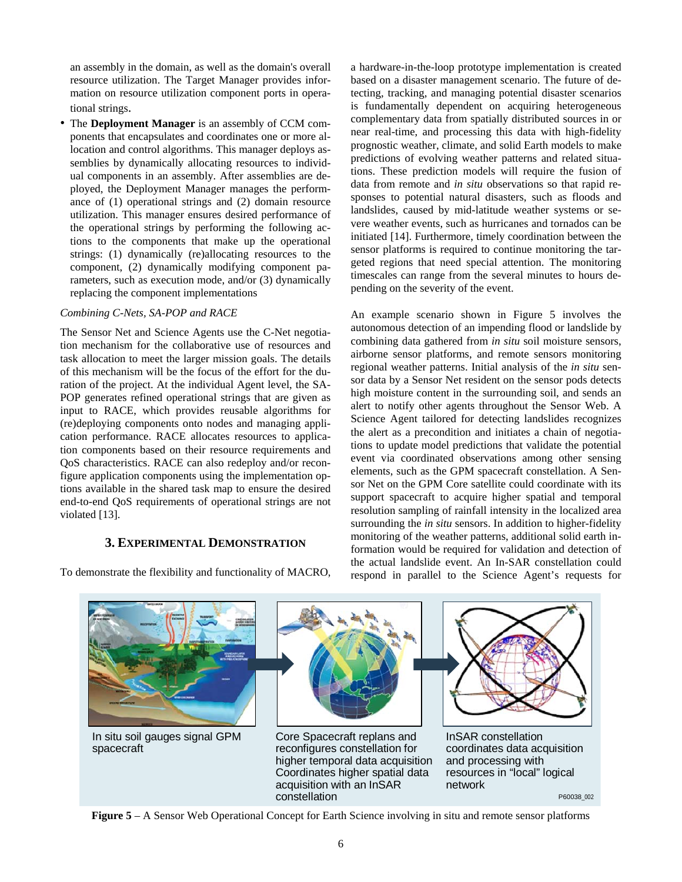an assembly in the domain, as well as the domain's overall resource utilization. The Target Manager provides information on resource utilization component ports in operational strings.

• The **Deployment Manager** is an assembly of CCM components that encapsulates and coordinates one or more allocation and control algorithms. This manager deploys assemblies by dynamically allocating resources to individual components in an assembly. After assemblies are deployed, the Deployment Manager manages the performance of (1) operational strings and (2) domain resource utilization. This manager ensures desired performance of the operational strings by performing the following actions to the components that make up the operational strings: (1) dynamically (re)allocating resources to the component, (2) dynamically modifying component parameters, such as execution mode, and/or (3) dynamically replacing the component implementations

# *Combining C-Nets, SA-POP and RACE*

The Sensor Net and Science Agents use the C-Net negotiation mechanism for the collaborative use of resources and task allocation to meet the larger mission goals. The details of this mechanism will be the focus of the effort for the duration of the project. At the individual Agent level, the SA-POP generates refined operational strings that are given as input to RACE, which provides reusable algorithms for (re)deploying components onto nodes and managing application performance. RACE allocates resources to application components based on their resource requirements and QoS characteristics. RACE can also redeploy and/or reconfigure application components using the implementation options available in the shared task map to ensure the desired end-to-end QoS requirements of operational strings are not violated [13].

# **3. EXPERIMENTAL DEMONSTRATION**

To demonstrate the flexibility and functionality of MACRO,

a hardware-in-the-loop prototype implementation is created based on a disaster management scenario. The future of detecting, tracking, and managing potential disaster scenarios is fundamentally dependent on acquiring heterogeneous complementary data from spatially distributed sources in or near real-time, and processing this data with high-fidelity prognostic weather, climate, and solid Earth models to make predictions of evolving weather patterns and related situations. These prediction models will require the fusion of data from remote and *in situ* observations so that rapid responses to potential natural disasters, such as floods and landslides, caused by mid-latitude weather systems or severe weather events, such as hurricanes and tornados can be initiated [14]. Furthermore, timely coordination between the sensor platforms is required to continue monitoring the targeted regions that need special attention. The monitoring timescales can range from the several minutes to hours depending on the severity of the event.

An example scenario shown in Figure 5 involves the autonomous detection of an impending flood or landslide by combining data gathered from *in situ* soil moisture sensors, airborne sensor platforms, and remote sensors monitoring regional weather patterns. Initial analysis of the *in situ* sensor data by a Sensor Net resident on the sensor pods detects high moisture content in the surrounding soil, and sends an alert to notify other agents throughout the Sensor Web. A Science Agent tailored for detecting landslides recognizes the alert as a precondition and initiates a chain of negotiations to update model predictions that validate the potential event via coordinated observations among other sensing elements, such as the GPM spacecraft constellation. A Sensor Net on the GPM Core satellite could coordinate with its support spacecraft to acquire higher spatial and temporal resolution sampling of rainfall intensity in the localized area surrounding the *in situ* sensors. In addition to higher-fidelity monitoring of the weather patterns, additional solid earth information would be required for validation and detection of the actual landslide event. An In-SAR constellation could respond in parallel to the Science Agent's requests for

![](_page_5_Figure_8.jpeg)

**Figure 5** – A Sensor Web Operational Concept for Earth Science involving in situ and remote sensor platforms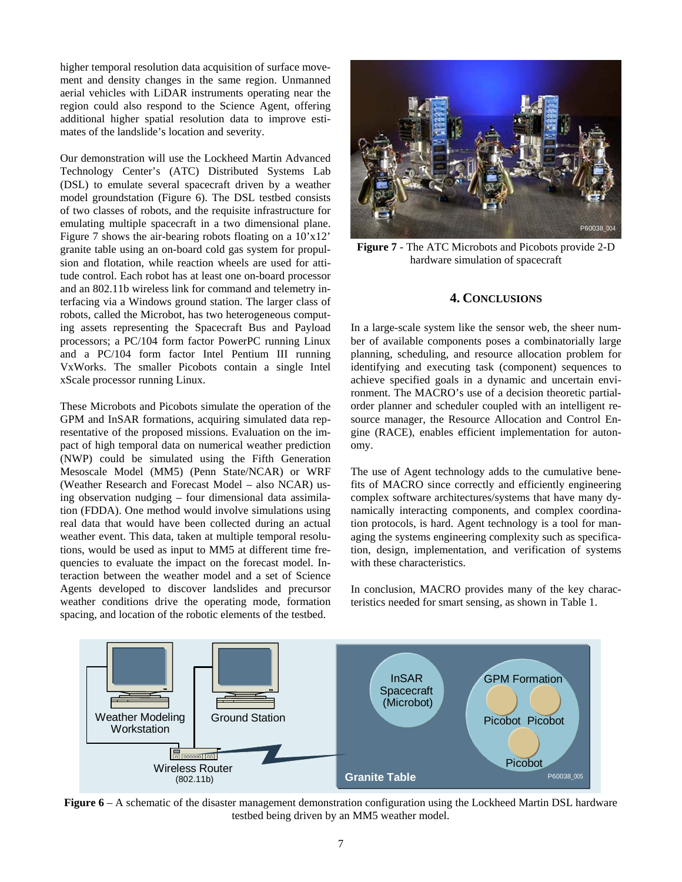higher temporal resolution data acquisition of surface movement and density changes in the same region. Unmanned aerial vehicles with LiDAR instruments operating near the region could also respond to the Science Agent, offering additional higher spatial resolution data to improve estimates of the landslide's location and severity.

Our demonstration will use the Lockheed Martin Advanced Technology Center's (ATC) Distributed Systems Lab (DSL) to emulate several spacecraft driven by a weather model groundstation (Figure 6). The DSL testbed consists of two classes of robots, and the requisite infrastructure for emulating multiple spacecraft in a two dimensional plane. Figure 7 shows the air-bearing robots floating on a 10'x12' granite table using an on-board cold gas system for propulsion and flotation, while reaction wheels are used for attitude control. Each robot has at least one on-board processor and an 802.11b wireless link for command and telemetry interfacing via a Windows ground station. The larger class of robots, called the Microbot, has two heterogeneous computing assets representing the Spacecraft Bus and Payload processors; a PC/104 form factor PowerPC running Linux and a PC/104 form factor Intel Pentium III running VxWorks. The smaller Picobots contain a single Intel xScale processor running Linux.

These Microbots and Picobots simulate the operation of the GPM and InSAR formations, acquiring simulated data representative of the proposed missions. Evaluation on the impact of high temporal data on numerical weather prediction (NWP) could be simulated using the Fifth Generation Mesoscale Model (MM5) (Penn State/NCAR) or WRF (Weather Research and Forecast Model – also NCAR) using observation nudging – four dimensional data assimilation (FDDA). One method would involve simulations using real data that would have been collected during an actual weather event. This data, taken at multiple temporal resolutions, would be used as input to MM5 at different time frequencies to evaluate the impact on the forecast model. Interaction between the weather model and a set of Science Agents developed to discover landslides and precursor weather conditions drive the operating mode, formation spacing, and location of the robotic elements of the testbed.

![](_page_6_Picture_3.jpeg)

**Figure 7** - The ATC Microbots and Picobots provide 2-D hardware simulation of spacecraft

## **4. CONCLUSIONS**

In a large-scale system like the sensor web, the sheer number of available components poses a combinatorially large planning, scheduling, and resource allocation problem for identifying and executing task (component) sequences to achieve specified goals in a dynamic and uncertain environment. The MACRO's use of a decision theoretic partialorder planner and scheduler coupled with an intelligent resource manager, the Resource Allocation and Control Engine (RACE), enables efficient implementation for autonomy.

The use of Agent technology adds to the cumulative benefits of MACRO since correctly and efficiently engineering complex software architectures/systems that have many dynamically interacting components, and complex coordination protocols, is hard. Agent technology is a tool for managing the systems engineering complexity such as specification, design, implementation, and verification of systems with these characteristics.

In conclusion, MACRO provides many of the key characteristics needed for smart sensing, as shown in Table 1.

![](_page_6_Figure_9.jpeg)

**Figure 6** – A schematic of the disaster management demonstration configuration using the Lockheed Martin DSL hardware testbed being driven by an MM5 weather model.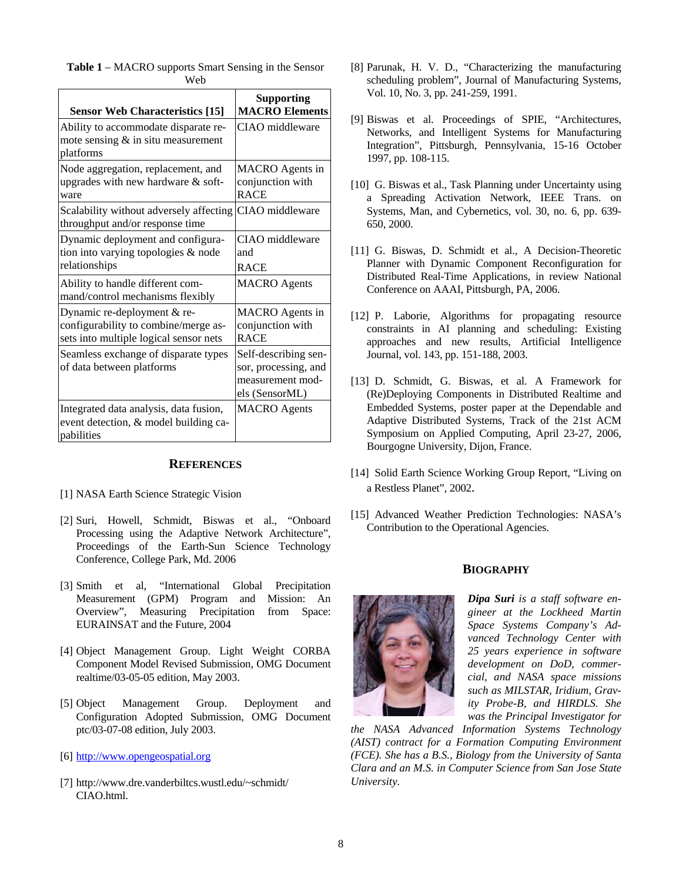| <b>Sensor Web Characteristics [15]</b>                                                                        | <b>Supporting</b><br><b>MACRO Elements</b>                                         |
|---------------------------------------------------------------------------------------------------------------|------------------------------------------------------------------------------------|
| Ability to accommodate disparate re-<br>mote sensing $\&$ in situ measurement<br>platforms                    | CIAO middleware                                                                    |
| Node aggregation, replacement, and<br>upgrades with new hardware & soft-<br>ware                              | <b>MACRO</b> Agents in<br>conjunction with<br><b>RACE</b>                          |
| Scalability without adversely affecting<br>throughput and/or response time                                    | CIAO middleware                                                                    |
| Dynamic deployment and configura-<br>tion into varying topologies & node<br>relationships                     | CIAO middleware<br>and<br><b>RACE</b>                                              |
| Ability to handle different com-<br>mand/control mechanisms flexibly                                          | <b>MACRO</b> Agents                                                                |
| Dynamic re-deployment & re-<br>configurability to combine/merge as-<br>sets into multiple logical sensor nets | <b>MACRO</b> Agents in<br>conjunction with<br><b>RACE</b>                          |
| Seamless exchange of disparate types<br>of data between platforms                                             | Self-describing sen-<br>sor, processing, and<br>measurement mod-<br>els (SensorML) |
| Integrated data analysis, data fusion,<br>event detection, & model building ca-<br>pabilities                 | <b>MACRO</b> Agents                                                                |

**Table 1** – MACRO supports Smart Sensing in the Sensor Web

## **REFERENCES**

- [1] NASA Earth Science Strategic Vision
- [2] Suri, Howell, Schmidt, Biswas et al., "Onboard Processing using the Adaptive Network Architecture", Proceedings of the Earth-Sun Science Technology Conference, College Park, Md. 2006
- [3] Smith et al, "International Global Precipitation Measurement (GPM) Program and Mission: An Overview", Measuring Precipitation from Space: EURAINSAT and the Future, 2004
- [4] Object Management Group. Light Weight CORBA Component Model Revised Submission, OMG Document realtime/03-05-05 edition, May 2003.
- [5] Object Management Group. Deployment and Configuration Adopted Submission, OMG Document ptc/03-07-08 edition, July 2003.
- [6] http://www.opengeospatial.org
- [7] http://www.dre.vanderbiltcs.wustl.edu/~schmidt/ CIAO.html.
- [8] Parunak, H. V. D., "Characterizing the manufacturing scheduling problem", Journal of Manufacturing Systems, Vol. 10, No. 3, pp. 241-259, 1991.
- [9] Biswas et al. Proceedings of SPIE, "Architectures, Networks, and Intelligent Systems for Manufacturing Integration", Pittsburgh, Pennsylvania, 15-16 October 1997, pp. 108-115.
- [10] G. Biswas et al., Task Planning under Uncertainty using a Spreading Activation Network, IEEE Trans. on Systems, Man, and Cybernetics, vol. 30, no. 6, pp. 639- 650, 2000.
- [11] G. Biswas, D. Schmidt et al., A Decision-Theoretic Planner with Dynamic Component Reconfiguration for Distributed Real-Time Applications, in review National Conference on AAAI, Pittsburgh, PA, 2006.
- [12] P. Laborie, Algorithms for propagating resource constraints in AI planning and scheduling: Existing approaches and new results, Artificial Intelligence Journal, vol. 143, pp. 151-188, 2003.
- [13] D. Schmidt, G. Biswas, et al. A Framework for (Re)Deploying Components in Distributed Realtime and Embedded Systems, poster paper at the Dependable and Adaptive Distributed Systems, Track of the 21st ACM Symposium on Applied Computing, April 23-27, 2006, Bourgogne University, Dijon, France.
- [14] Solid Earth Science Working Group Report, "Living on a Restless Planet", 2002.
- [15] Advanced Weather Prediction Technologies: NASA's Contribution to the Operational Agencies.

# **BIOGRAPHY**

![](_page_7_Picture_19.jpeg)

*Dipa Suri is a staff software engineer at the Lockheed Martin Space Systems Company's Advanced Technology Center with 25 years experience in software development on DoD, commercial, and NASA space missions such as MILSTAR, Iridium, Gravity Probe-B, and HIRDLS. She was the Principal Investigator for* 

*the NASA Advanced Information Systems Technology (AIST) contract for a Formation Computing Environment (FCE). She has a B.S., Biology from the University of Santa Clara and an M.S. in Computer Science from San Jose State University.*